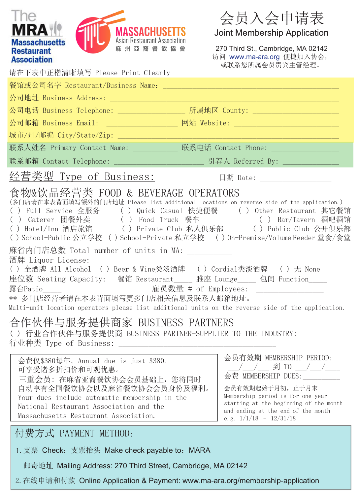|                                                                                                                                                                                                                                                                                                                                                                                                                                                                                                                                                                                                                                                                                                                                                                                                                                                                                                     |                                          | 会员入会申请表                                                                                                                                                                                                                                                                   |
|-----------------------------------------------------------------------------------------------------------------------------------------------------------------------------------------------------------------------------------------------------------------------------------------------------------------------------------------------------------------------------------------------------------------------------------------------------------------------------------------------------------------------------------------------------------------------------------------------------------------------------------------------------------------------------------------------------------------------------------------------------------------------------------------------------------------------------------------------------------------------------------------------------|------------------------------------------|---------------------------------------------------------------------------------------------------------------------------------------------------------------------------------------------------------------------------------------------------------------------------|
|                                                                                                                                                                                                                                                                                                                                                                                                                                                                                                                                                                                                                                                                                                                                                                                                                                                                                                     | MASSACHUSETTS                            | Joint Membership Application                                                                                                                                                                                                                                              |
| <b>Massachusetts</b><br><b>Restaurant</b><br><b>Association</b>                                                                                                                                                                                                                                                                                                                                                                                                                                                                                                                                                                                                                                                                                                                                                                                                                                     | Asian Restaurant Association<br>麻州亞裔餐飲協會 | 270 Third St., Cambridge, MA 02142<br>访问 www.ma-ara.org 便捷加入协会,<br>或联系您所属会员贵宾主管经理。                                                                                                                                                                                        |
| 请在下表中正楷清晰填写 Please Print Clearly                                                                                                                                                                                                                                                                                                                                                                                                                                                                                                                                                                                                                                                                                                                                                                                                                                                                    |                                          |                                                                                                                                                                                                                                                                           |
|                                                                                                                                                                                                                                                                                                                                                                                                                                                                                                                                                                                                                                                                                                                                                                                                                                                                                                     |                                          |                                                                                                                                                                                                                                                                           |
|                                                                                                                                                                                                                                                                                                                                                                                                                                                                                                                                                                                                                                                                                                                                                                                                                                                                                                     |                                          |                                                                                                                                                                                                                                                                           |
|                                                                                                                                                                                                                                                                                                                                                                                                                                                                                                                                                                                                                                                                                                                                                                                                                                                                                                     |                                          | 公司电话 Business Telephone: _________________ 所属地区 County: ________________________                                                                                                                                                                                          |
|                                                                                                                                                                                                                                                                                                                                                                                                                                                                                                                                                                                                                                                                                                                                                                                                                                                                                                     |                                          | 公司邮箱 Business Email: ___________________ 网站 Website: ___________________________                                                                                                                                                                                          |
|                                                                                                                                                                                                                                                                                                                                                                                                                                                                                                                                                                                                                                                                                                                                                                                                                                                                                                     |                                          |                                                                                                                                                                                                                                                                           |
|                                                                                                                                                                                                                                                                                                                                                                                                                                                                                                                                                                                                                                                                                                                                                                                                                                                                                                     |                                          | 联系人姓名 Primary Contact Name: ____________ 联系电话 Contact Phone: ___________________                                                                                                                                                                                          |
|                                                                                                                                                                                                                                                                                                                                                                                                                                                                                                                                                                                                                                                                                                                                                                                                                                                                                                     |                                          |                                                                                                                                                                                                                                                                           |
| 经营类型 Type of Business:                                                                                                                                                                                                                                                                                                                                                                                                                                                                                                                                                                                                                                                                                                                                                                                                                                                                              |                                          | 日期 Date: ____________________                                                                                                                                                                                                                                             |
| 食物&饮品经营类 FOOD & BEVERAGE OPERATORS<br>(多门店请在本表背面填写额外的门店地址 Please list additional locations on reverse side of the application.)<br>() Full Service 全服务 () Quick Casual 快捷便餐 () Other Restaurant 其它餐馆<br>() Caterer 团餐外卖 () Food Truck 餐车 () Bar/Tavern 酒吧酒馆<br>() Hotel/Inn 酒店旅馆 () Private Club 私人俱乐部 () Public Club 公开俱乐部<br>() School-Public 公立学校 () School-Private 私立学校 () On-Premise/Volume Feeder 堂食/食堂<br>麻省内门店总数 Total number of units in MA: ___________<br>酒牌 Liquor License:<br>() 全酒牌 All Alcohol () Beer & Wine类淡酒牌 () Cordial类淡酒牌 () 无 None<br>座位数 Seating Capacity: 餐馆 Restaurant____ 雅座 Lounge____ 包间 Function____<br>露台Patio________________________________雇员数量 # of Employees: ____________________<br>** 多门店经营者请在本表背面填写更多门店相关信息及联系人邮箱地址。<br>Multi-unit location operators please list additional units on the reverse side of the application.<br>合作伙伴与服务提供商家 BUSINESS PARTNERS |                                          |                                                                                                                                                                                                                                                                           |
| ( )行业合作伙伴与服务提供商 BUSINESS PARTNER-SUPPLIER TO THE INDUSTRY:<br>行业种类 Type of Business:                                                                                                                                                                                                                                                                                                                                                                                                                                                                                                                                                                                                                                                                                                                                                                                                                |                                          |                                                                                                                                                                                                                                                                           |
| 会费仅\$380每年。Annual due is just \$380.<br>可享受诸多折扣价和可观优惠。<br>三重会员: 在麻省亚裔餐饮协会会员基础上, 您将同时<br>Your dues include automatic membership in the<br>National Restaurant Association and the<br>Massachusetts Restaurant Association.                                                                                                                                                                                                                                                                                                                                                                                                                                                                                                                                                                                                                                                                           | 自动享有全国餐饮协会以及麻省餐饮协会会员身份及福利。               | 会员有效期 MEMBERSHIP PERIOD:<br>____/____/_____ 到 TO ____/____/______<br>会费 MEMBERSHIP DUES: ___________<br>会员有效期起始于月初, 止于月末<br>Membership period is for one year<br>starting at the beginning of the month<br>and ending at the end of the month<br>e.g. $1/1/18 - 12/31/18$ |
| 付费方式 PAYMENT METHOD:                                                                                                                                                                                                                                                                                                                                                                                                                                                                                                                                                                                                                                                                                                                                                                                                                                                                                |                                          |                                                                                                                                                                                                                                                                           |
| 1. 支票 Check: 支票抬头 Make check payable to: MARA                                                                                                                                                                                                                                                                                                                                                                                                                                                                                                                                                                                                                                                                                                                                                                                                                                                       |                                          |                                                                                                                                                                                                                                                                           |
| 邮寄地址 Mailing Address: 270 Third Street, Cambridge, MA 02142                                                                                                                                                                                                                                                                                                                                                                                                                                                                                                                                                                                                                                                                                                                                                                                                                                         |                                          |                                                                                                                                                                                                                                                                           |

2.在线申请和付款 Online Application & Payment: www.ma-ara.org/membership-application